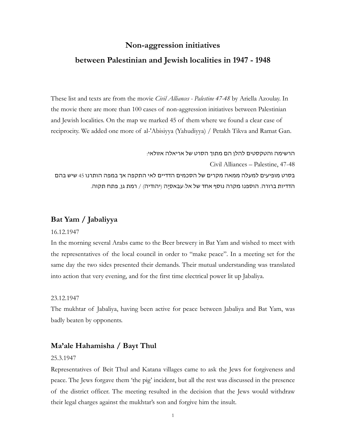### **Non-aggression initiatives**

### **between Palestinian and Jewish localities in 1947 - 1948**

These list and texts are from the movie *Civil Alliances - Palestine 47-48* by Ariella Azoulay. In the movie there are more than 100 cases of non-aggression initiatives between Palestinian and Jewish localities. On the map we marked 45 of them where we found a clear case of reciprocity. We added one more of al-'Abisiyya (Yahudiyya) / Petakh Tikva and Ramat Gan.

הרשימה והטקסטים להלן הם מתוך הסרט של אריאלה אזולאי:

Civil Alliances – Palestine, 47-48

בסרט מופיעים למעלה ממאה מקרים של הסכמים הדדיים לאי התקפה אך במפה הותרנו 45 שיש בהם הדדיות ברורה. הוספנו מקרה נוסף אחד של אל-עבִאסִיָה (יהודיה) / רמת גן, פתח תקוה.

### **Bat Yam / Jabaliyya**

### 16.12.1947

In the morning several Arabs came to the Beer brewery in Bat Yam and wished to meet with the representatives of the local council in order to "make peace". In a meeting set for the same day the two sides presented their demands. Their mutual understanding was translated into action that very evening, and for the first time electrical power lit up Jabaliya.

#### 23.12.1947

The mukhtar of Jabaliya, having been active for peace between Jabaliya and Bat Yam, was badly beaten by opponents.

### **Ma'ale Hahamisha / Bayt Thul**

#### 25.3.1947

Representatives of Beit Thul and Katana villages came to ask the Jews for forgiveness and peace. The Jews forgave them 'the pig' incident, but all the rest was discussed in the presence of the district officer. The meeting resulted in the decision that the Jews would withdraw their legal charges against the mukhtar's son and forgive him the insult.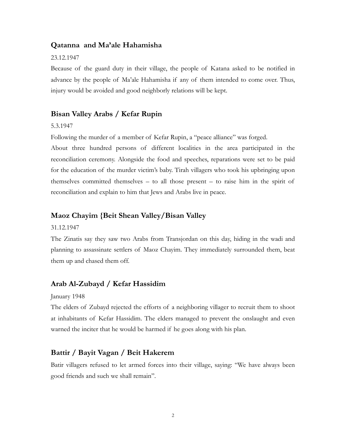### **Qatanna and Ma'ale Hahamisha**

#### 23.12.1947

Because of the guard duty in their village, the people of Katana asked to be notified in advance by the people of Ma'ale Hahamisha if any of them intended to come over. Thus, injury would be avoided and good neighborly relations will be kept.

### **Bisan Valley Arabs / Kefar Rupin**

### 5.3.1947

Following the murder of a member of Kefar Rupin, a "peace alliance" was forged.

About three hundred persons of different localities in the area participated in the reconciliation ceremony. Alongside the food and speeches, reparations were set to be paid for the education of the murder victim's baby. Tirah villagers who took his upbringing upon themselves committed themselves – to all those present – to raise him in the spirit of reconciliation and explain to him that Jews and Arabs live in peace.

### **Maoz Chayim {Beit Shean Valley/Bisan Valley**

#### 31.12.1947

The Zinatis say they saw two Arabs from Transjordan on this day, hiding in the wadi and planning to assassinate settlers of Maoz Chayim. They immediately surrounded them, beat them up and chased them off.

### **Arab Al-Zubayd / Kefar Hassidim**

#### January 1948

The elders of Zubayd rejected the efforts of a neighboring villager to recruit them to shoot at inhabitants of Kefar Hassidim. The elders managed to prevent the onslaught and even warned the inciter that he would be harmed if he goes along with his plan.

### **Battir / Bayit Vagan / Beit Hakerem**

Batir villagers refused to let armed forces into their village, saying: "We have always been good friends and such we shall remain".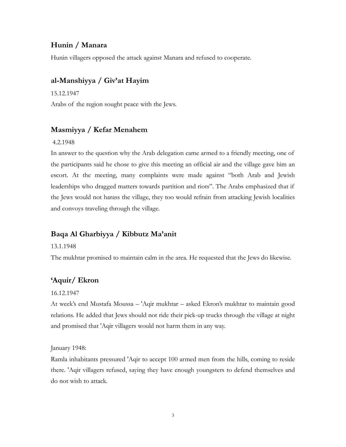# **Hunin / Manara**

Hunin villagers opposed the attack against Manara and refused to cooperate.

### **al-Manshiyya / Giv'at Hayim**

15.12.1947

Arabs of the region sought peace with the Jews.

### **Masmiyya / Kefar Menahem**

### 4.2.1948

In answer to the question why the Arab delegation came armed to a friendly meeting, one of the participants said he chose to give this meeting an official air and the village gave him an escort. At the meeting, many complaints were made against "both Arab and Jewish leaderships who dragged matters towards partition and riots". The Arabs emphasized that if the Jews would not harass the village, they too would refrain from attacking Jewish localities and convoys traveling through the village.

# **Baqa Al Gharbiyya / Kibbutz Ma'anit**

### 13.1.1948

The mukhtar promised to maintain calm in the area. He requested that the Jews do likewise.

# **'Aquir/ Ekron**

### 16.12.1947

At week's end Mustafa Moussa – 'Aqir mukhtar – asked Ekron's mukhtar to maintain good relations. He added that Jews should not ride their pick-up trucks through the village at night and promised that 'Aqir villagers would not harm them in any way.

January 1948:

Ramla inhabitants pressured 'Aqir to accept 100 armed men from the hills, coming to reside there. 'Aqir villagers refused, saying they have enough youngsters to defend themselves and do not wish to attack.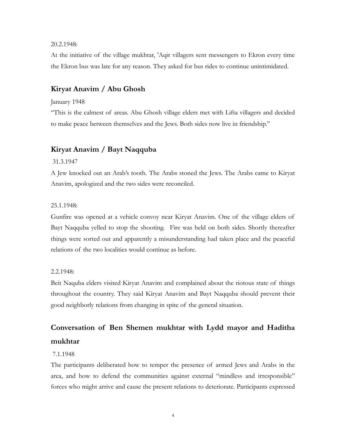### 20.2.1948:

At the initiative of the village mukhtar, 'Aqir villagers sent messengers to Ekron every time the Ekron bus was late for any reason. They asked for bus rides to continue unintimidated.

### **Kiryat Anavim / Abu Ghosh**

#### January 1948

"This is the calmest of areas. Abu Ghosh village elders met with Lifta villagers and decided to make peace between themselves and the Jews. Both sides now live in friendship."

# **Kiryat Anavim / [Bayt Naqquba](http://www.palestineremembered.com/Jerusalem/Bayt-Naqquba/index.html)**

### 31.3.1947

A Jew knocked out an Arab's tooth. The Arabs stoned the Jews. The Arabs came to Kiryat Anavim, apologized and the two sides were reconciled.

#### 25.1.1948:

Gunfire was opened at a vehicle convoy near Kiryat Anavim. One of the village elders of [Bayt Naqquba](http://www.palestineremembered.com/Jerusalem/Bayt-Naqquba/index.html) yelled to stop the shooting. Fire was held on both sides. Shortly thereafter things were sorted out and apparently a misunderstanding had taken place and the peaceful relations of the two localities would continue as before.

#### 2.2.1948:

Beit Naquba elders visited Kiryat Anavim and complained about the riotous state of things throughout the country. They said Kiryat Anavim and [Bayt Naqquba](http://www.palestineremembered.com/Jerusalem/Bayt-Naqquba/index.html) should prevent their good neighborly relations from changing in spite of the general situation.

# **Conversation of Ben Shemen mukhtar with Lydd mayor and Haditha mukhtar**

#### 7.1.1948

The participants deliberated how to temper the presence of armed Jews and Arabs in the area, and how to defend the communities against external "mindless and irresponsible" forces who might arrive and cause the present relations to deteriorate. Participants expressed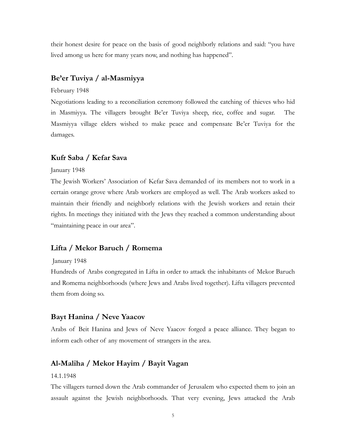their honest desire for peace on the basis of good neighborly relations and said: "you have lived among us here for many years now, and nothing has happened".

### **Be'er Tuviya / al-Masmiyya**

#### February 1948

Negotiations leading to a reconciliation ceremony followed the catching of thieves who hid in Masmiyya. The villagers brought Be'er Tuviya sheep, rice, coffee and sugar. The Masmiyya village elders wished to make peace and compensate Be'er Tuviya for the damages.

### **Kufr Saba / Kefar Sava**

#### January 1948

The Jewish Workers' Association of Kefar Sava demanded of its members not to work in a certain orange grove where Arab workers are employed as well. The Arab workers asked to maintain their friendly and neighborly relations with the Jewish workers and retain their rights. In meetings they initiated with the Jews they reached a common understanding about "maintaining peace in our area".

### **Lifta / Mekor Baruch / Romema**

#### January 1948

Hundreds of Arabs congregated in Lifta in order to attack the inhabitants of Mekor Baruch and Romema neighborhoods (where Jews and Arabs lived together). Lifta villagers prevented them from doing so.

### **Bayt Hanina / Neve Yaacov**

Arabs of Beit Hanina and Jews of Neve Yaacov forged a peace alliance. They began to inform each other of any movement of strangers in the area.

### **Al-Maliha / Mekor Hayim / Bayit Vagan**

### 14.1.1948

The villagers turned down the Arab commander of Jerusalem who expected them to join an assault against the Jewish neighborhoods. That very evening, Jews attacked the Arab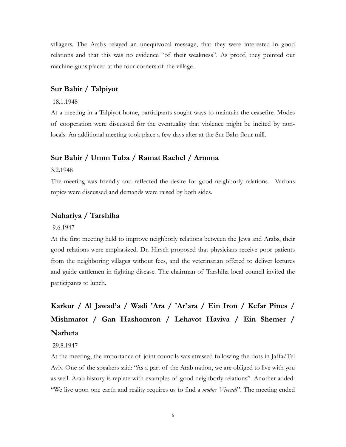villagers. The Arabs relayed an unequivocal message, that they were interested in good relations and that this was no evidence "of their weakness". As proof, they pointed out machine-guns placed at the four corners of the village.

### **Sur Bahir / Talpiyot**

#### 18.1.1948

At a meeting in a Talpiyot home, participants sought ways to maintain the ceasefire. Modes of cooperation were discussed for the eventuality that violence might be incited by nonlocals. An additional meeting took place a few days alter at the Sur Bahr flour mill.

### **Sur Bahir / Umm Tuba / Ramat Rachel / Arnona**

#### 3.2.1948

The meeting was friendly and reflected the desire for good neighborly relations. Various topics were discussed and demands were raised by both sides.

### **Nahariya / Tarshiha**

#### 9.6.1947

At the first meeting held to improve neighborly relations between the Jews and Arabs, their good relations were emphasized. Dr. Hirsch proposed that physicians receive poor patients from the neighboring villages without fees, and the veterinarian offered to deliver lectures and guide cattlemen in fighting disease. The chairman of Tarshiha local council invited the participants to lunch.

# **Karkur / Al Jawad'a / Wadi 'Ara / 'Ar'ara / Ein Iron / Kefar Pines / Mishmarot / Gan Hashomron / Lehavot Haviva / Ein Shemer / Narbeta**

#### 29.8.1947

At the meeting, the importance of joint councils was stressed following the riots in Jaffa/Tel Aviv. One of the speakers said: "As a part of the Arab nation, we are obliged to live with you as well. Arab history is replete with examples of good neighborly relations". Another added: "We live upon one earth and reality requires us to find a *modus Vivendi*". The meeting ended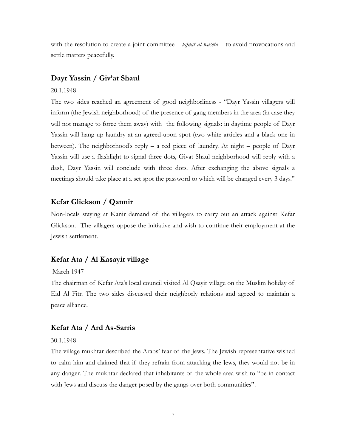with the resolution to create a joint committee – *lajnat al waseta* – to avoid provocations and settle matters peacefully.

### **Dayr Yassin / Giv'at Shaul**

### 20.1.1948

The two sides reached an agreement of good neighborliness - "Dayr Yassin villagers will inform (the Jewish neighborhood) of the presence of gang members in the area (in case they will not manage to force them away) with the following signals: in daytime people of Dayr Yassin will hang up laundry at an agreed-upon spot (two white articles and a black one in between). The neighborhood's reply – a red piece of laundry. At night – people of  $Dayr$ Yassin will use a flashlight to signal three dots, Givat Shaul neighborhood will reply with a dash, Dayr Yassin will conclude with three dots. After exchanging the above signals a meetings should take place at a set spot the password to which will be changed every 3 days."

### **Kefar Glickson / Qannir**

Non-locals staying at Kanir demand of the villagers to carry out an attack against Kefar Glickson. The villagers oppose the initiative and wish to continue their employment at the Jewish settlement.

### **Kefar Ata / Al Kasayir village**

#### March 1947

The chairman of Kefar Ata's local council visited Al Qsayir village on the Muslim holiday of Eid Al Fitr. The two sides discussed their neighborly relations and agreed to maintain a peace alliance.

### **Kefar Ata / Ard As-Sarris**

#### 30.1.1948

The village mukhtar described the Arabs' fear of the Jews. The Jewish representative wished to calm him and claimed that if they refrain from attacking the Jews, they would not be in any danger. The mukhtar declared that inhabitants of the whole area wish to "be in contact with Jews and discuss the danger posed by the gangs over both communities".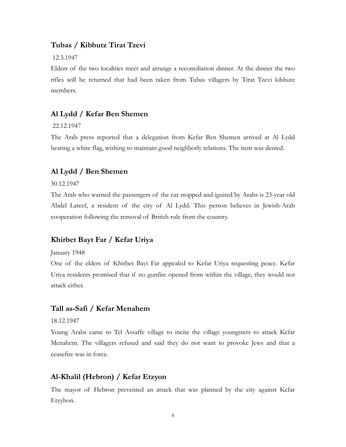### **Tubas / Kibbutz Tirat Tzevi**

#### 12.3.1947

Elders of the two localities meet and arrange a reconciliation dinner. At the dinner the two rifles will be returned that had been taken from Tubas villagers by Tirat Tzevi kibbutz members.

### **Al Lydd / Kefar Ben Shemen**

#### 22.12.1947

The Arab press reported that a delegation from Kefar Ben Shemen arrived at Al Lydd bearing a white flag, wishing to maintain good neighborly relations. The item was denied.

### **Al Lydd / Ben Shemen**

### 30.12.1947

The Arab who warned the passengers of the car stopped and ignited by Arabs is 23-year old Abdel Lateef, a resident of the city of Al Lydd. This person believes in Jewish-Arab cooperation following the removal of British rule from the country.

### **Khirbet Bayt Far / Kefar Uriya**

#### January 1948

One of the elders of Khirbet Bayt Far appealed to Kefar Uriya requesting peace. Kefar Uriya residents promised that if no gunfire opened from within the village, they would not attack either.

### **Tall as-Safi / Kefar Menahem**

### 18.12.1947

Young Arabs came to Tel Assaffe village to incite the village youngsters to attack Kefar Menahem. The villagers refused and said they do not want to provoke Jews and that a ceasefire was in force.

### **Al-Khalil (Hebron) / Kefar Etzyon**

The mayor of Hebron prevented an attack that was planned by the city against Kefar Etzyhon.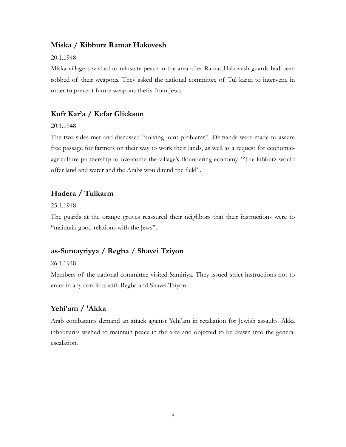### **Miska / Kibbutz Ramat Hakovesh**

### 20.1.1948

Miska villagers wished to reinstate peace in the area after Ramat Hakovesh guards had been robbed of their weapons. They asked the national committee of Tul karm to intervene in order to prevent future weapons thefts from Jews.

# **Kufr Kar'a / Kefar Glickson**

### 20.1.1948

The two sides met and discussed "solving joint problems". Demands were made to assure free passage for farmers on their way to work their lands, as well as a request for economicagriculture partnership to overcome the village's floundering economy. "The kibbutz would offer land and water and the Arabs would tend the field".

# **Hadera / Tulkarm**

25.1.1948

The guards at the orange groves reassured their neighbors that their instructions were to "maintain good relations with the Jews".

# **as-Sumayriyya / Regba / Shavei Tziyon**

### 26.1.1948

Members of the national committee visited Samiriya. They issued strict instructions not to enter in any conflicts with Regba and Shavei Tziyon.

### **Yehi'am / 'Akka**

Arab combatants demand an attack against Yehi'am in retaliation for Jewish assaults. Akka inhabitants wished to maintain peace in the area and objected to be drawn into the general escalation.